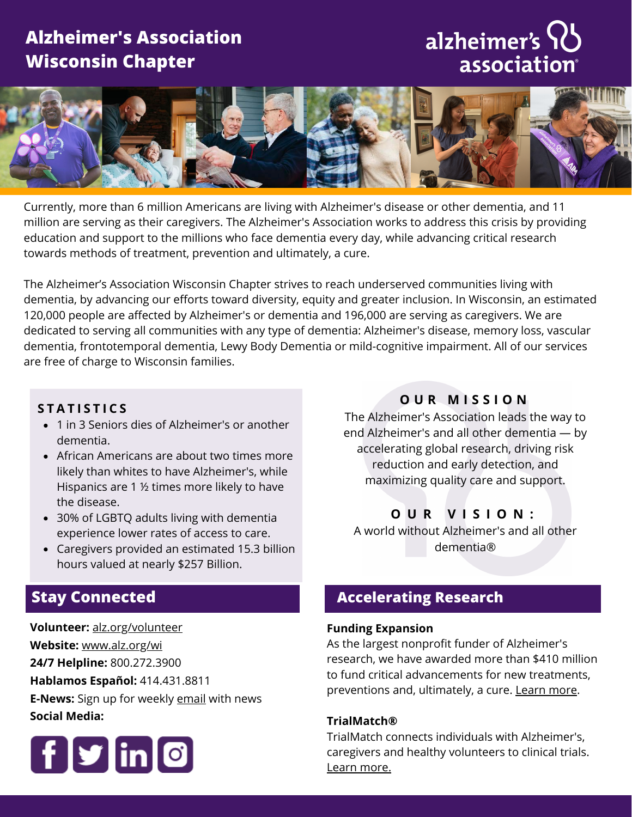## **Alzheimer's Association Wisconsin Chapter**

## alzheimer's IL association®



Currently, more than 6 million Americans are living with Alzheimer's disease or other dementia, and 11 million are serving as their caregivers. The Alzheimer's Association works to address this crisis by providing education and support to the millions who face dementia every day, while advancing critical research towards methods of treatment, prevention and ultimately, a cure.

The Alzheimer's Association Wisconsin Chapter strives to reach underserved communities living with dementia, by advancing our efforts toward diversity, equity and greater inclusion. In Wisconsin, an estimated 120,000 people are affected by Alzheimer's or dementia and 196,000 are serving as caregivers. We are dedicated to serving all communities with any type of dementia: Alzheimer's disease, memory loss, vascular dementia, frontotemporal dementia, Lewy Body Dementia or mild-cognitive impairment. All of our services are free of charge to Wisconsin families.

## $S$  **TATISTICS**

- 1 in 3 Seniors dies of Alzheimer's or another dementia.
- African Americans are about two times more likely than whites to have Alzheimer's, while Hispanics are 1 ½ times more likely to have the disease.
- 30% of LGBTQ adults living with dementia experience lower rates of access to care.
- Caregivers provided an estimated 15.3 billion hours valued at nearly \$257 Billion.

## **Stay Connected**

**Volunteer:** [alz.org/volunteer](http://alz.org/volunteer) **Website:** [www.alz.org/wi](http://www.alz.org/wi) **24/7 Helpline:** 800.272.3900 **Hablamos Español:** 414.431.8811 **E-News:** Sign up for weekly **[email](https://www.alz.org/e-news)** with news **Social Media:**



## **O U R M I S S I O N**

The Alzheimer's Association leads the way to end Alzheimer's and all other dementia — by accelerating global research, driving risk reduction and early detection, and maximizing quality care and support.

## **O U R V I S I O N :**

A world without Alzheimer's and all other dementia®

## **Accelerating Research**

#### **Funding Expansion**

As the largest nonprofit funder of Alzheimer's research, we have awarded more than \$410 million to fund critical advancements for new treatments, preventions and, ultimately, a cure. [Learn](https://www.alz.org/research) more.

#### **[TrialMatch®](https://www.alz.org/alzheimers-dementia/research_progress/clinical-trials/about-clinical-trials)**

TrialMatch connects individuals with Alzheimer's, caregivers and healthy volunteers to clinical trials. Learn [more.](https://www.alz.org/alzheimers-dementia/research_progress/clinical-trials/trialmatch)